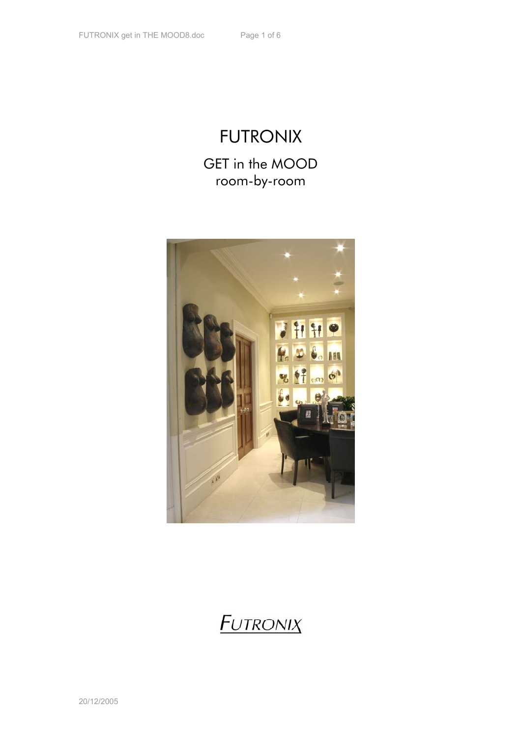# FUTRONIX GET in the MOOD room-by-room



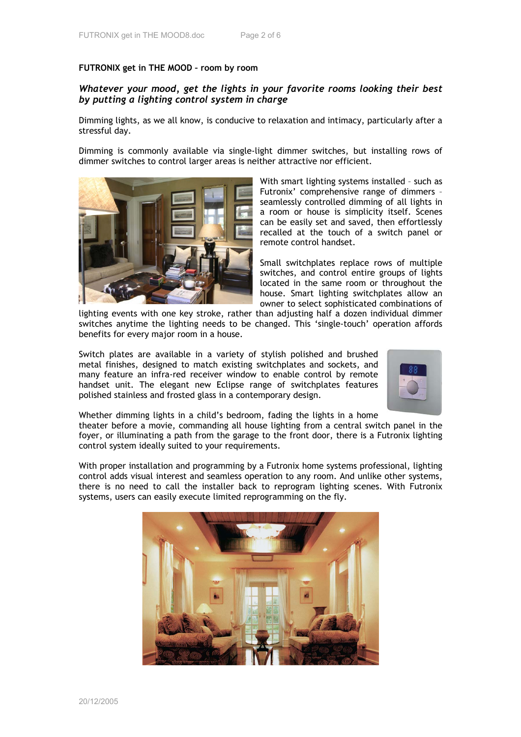### **FUTRONIX get in THE MOOD – room by room**

# *Whatever your mood, get the lights in your favorite rooms looking their best by putting a lighting control system in charge*

Dimming lights, as we all know, is conducive to relaxation and intimacy, particularly after a stressful day.

Dimming is commonly available via single-light dimmer switches, but installing rows of dimmer switches to control larger areas is neither attractive nor efficient.



With smart lighting systems installed – such as Futronix' comprehensive range of dimmers – seamlessly controlled dimming of all lights in a room or house is simplicity itself. Scenes can be easily set and saved, then effortlessly recalled at the touch of a switch panel or remote control handset.

Small switchplates replace rows of multiple switches, and control entire groups of lights located in the same room or throughout the house. Smart lighting switchplates allow an owner to select sophisticated combinations of

lighting events with one key stroke, rather than adjusting half a dozen individual dimmer switches anytime the lighting needs to be changed. This 'single-touch' operation affords benefits for every major room in a house.

Switch plates are available in a variety of stylish polished and brushed metal finishes, designed to match existing switchplates and sockets, and many feature an infra-red receiver window to enable control by remote handset unit. The elegant new Eclipse range of switchplates features polished stainless and frosted glass in a contemporary design.



Whether dimming lights in a child's bedroom, fading the lights in a home

theater before a movie, commanding all house lighting from a central switch panel in the foyer, or illuminating a path from the garage to the front door, there is a Futronix lighting control system ideally suited to your requirements.

With proper installation and programming by a Futronix home systems professional, lighting control adds visual interest and seamless operation to any room. And unlike other systems, there is no need to call the installer back to reprogram lighting scenes. With Futronix systems, users can easily execute limited reprogramming on the fly.

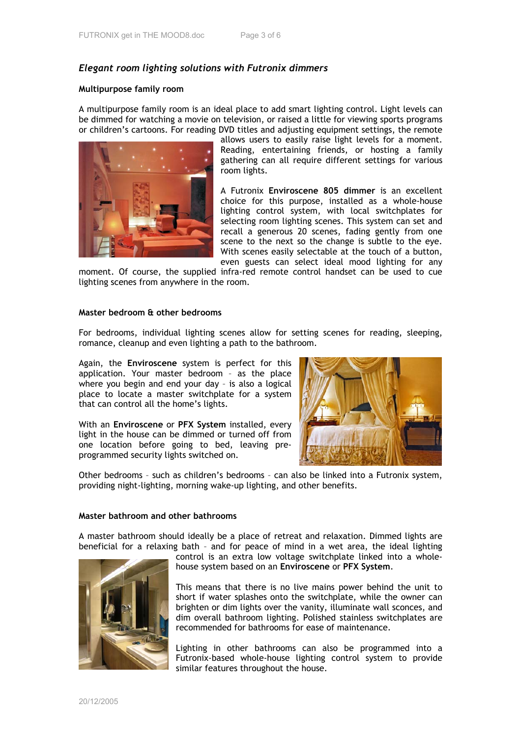# *Elegant room lighting solutions with Futronix dimmers*

#### **Multipurpose family room**

A multipurpose family room is an ideal place to add smart lighting control. Light levels can be dimmed for watching a movie on television, or raised a little for viewing sports programs or children's cartoons. For reading DVD titles and adjusting equipment settings, the remote



allows users to easily raise light levels for a moment. Reading, entertaining friends, or hosting a family gathering can all require different settings for various room lights.

A Futronix **Enviroscene 805 dimmer** is an excellent choice for this purpose, installed as a whole-house lighting control system, with local switchplates for selecting room lighting scenes. This system can set and recall a generous 20 scenes, fading gently from one scene to the next so the change is subtle to the eye. With scenes easily selectable at the touch of a button, even guests can select ideal mood lighting for any

moment. Of course, the supplied infra-red remote control handset can be used to cue lighting scenes from anywhere in the room.

#### **Master bedroom & other bedrooms**

For bedrooms, individual lighting scenes allow for setting scenes for reading, sleeping, romance, cleanup and even lighting a path to the bathroom.

Again, the **Enviroscene** system is perfect for this application. Your master bedroom – as the place where you begin and end your day – is also a logical place to locate a master switchplate for a system that can control all the home's lights.

With an **Enviroscene** or **PFX System** installed, every light in the house can be dimmed or turned off from one location before going to bed, leaving preprogrammed security lights switched on.



Other bedrooms – such as children's bedrooms – can also be linked into a Futronix system, providing night-lighting, morning wake-up lighting, and other benefits.

#### **Master bathroom and other bathrooms**

A master bathroom should ideally be a place of retreat and relaxation. Dimmed lights are beneficial for a relaxing bath – and for peace of mind in a wet area, the ideal lighting



control is an extra low voltage switchplate linked into a wholehouse system based on an **Enviroscene** or **PFX System**.

This means that there is no live mains power behind the unit to short if water splashes onto the switchplate, while the owner can brighten or dim lights over the vanity, illuminate wall sconces, and dim overall bathroom lighting. Polished stainless switchplates are recommended for bathrooms for ease of maintenance.

Lighting in other bathrooms can also be programmed into a Futronix-based whole-house lighting control system to provide similar features throughout the house.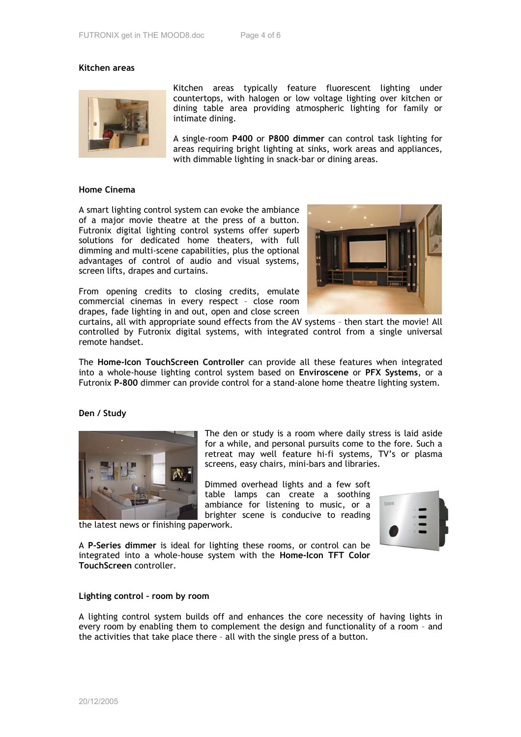#### **Kitchen areas**



Kitchen areas typically feature fluorescent lighting under countertops, with halogen or low voltage lighting over kitchen or dining table area providing atmospheric lighting for family or intimate dining.

A single-room **P400** or **P800 dimmer** can control task lighting for areas requiring bright lighting at sinks, work areas and appliances, with dimmable lighting in snack-bar or dining areas.

#### **Home Cinema**

A smart lighting control system can evoke the ambiance of a major movie theatre at the press of a button. Futronix digital lighting control systems offer superb solutions for dedicated home theaters, with full dimming and multi-scene capabilities, plus the optional advantages of control of audio and visual systems, screen lifts, drapes and curtains.

From opening credits to closing credits, emulate commercial cinemas in every respect – close room drapes, fade lighting in and out, open and close screen

curtains, all with appropriate sound effects from the AV systems – then start the movie! All controlled by Futronix digital systems, with integrated control from a single universal remote handset.

The **Home-Icon TouchScreen Controller** can provide all these features when integrated into a whole-house lighting control system based on **Enviroscene** or **PFX Systems**, or a Futronix **P-800** dimmer can provide control for a stand-alone home theatre lighting system.

#### **Den / Study**



The den or study is a room where daily stress is laid aside for a while, and personal pursuits come to the fore. Such a retreat may well feature hi-fi systems, TV's or plasma screens, easy chairs, mini-bars and libraries.

Dimmed overhead lights and a few soft table lamps can create a soothing ambiance for listening to music, or a brighter scene is conducive to reading



the latest news or finishing paperwork.

A **P-Series dimmer** is ideal for lighting these rooms, or control can be integrated into a whole-house system with the **Home-Icon TFT Color TouchScreen** controller.

#### **Lighting control – room by room**

A lighting control system builds off and enhances the core necessity of having lights in every room by enabling them to complement the design and functionality of a room – and the activities that take place there – all with the single press of a button.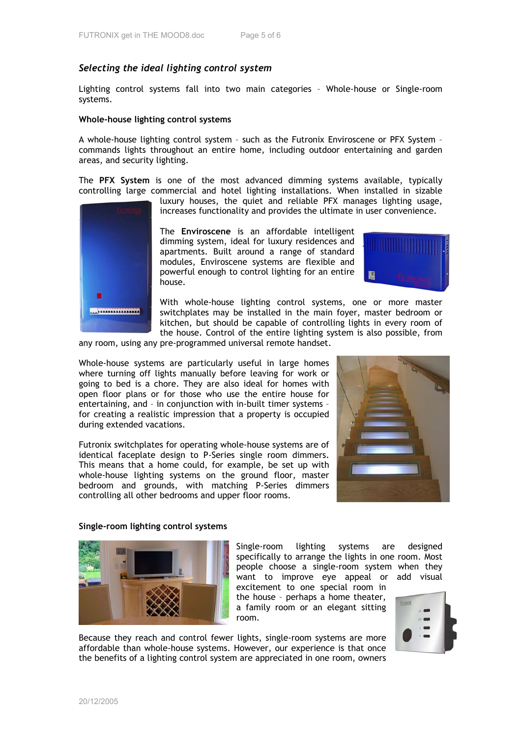## *Selecting the ideal lighting control system*

Lighting control systems fall into two main categories – Whole-house or Single-room systems.

#### **Whole-house lighting control systems**

A whole-house lighting control system – such as the Futronix Enviroscene or PFX System – commands lights throughout an entire home, including outdoor entertaining and garden areas, and security lighting.

The **PFX System** is one of the most advanced dimming systems available, typically controlling large commercial and hotel lighting installations. When installed in sizable

luxury houses, the quiet and reliable PFX manages lighting usage, increases functionality and provides the ultimate in user convenience.

Wittersteinung

The **Enviroscene** is an affordable intelligent dimming system, ideal for luxury residences and apartments. Built around a range of standard modules, Enviroscene systems are flexible and powerful enough to control lighting for an entire house.



With whole-house lighting control systems, one or more master switchplates may be installed in the main foyer, master bedroom or kitchen, but should be capable of controlling lights in every room of the house. Control of the entire lighting system is also possible, from

any room, using any pre-programmed universal remote handset.

Whole-house systems are particularly useful in large homes where turning off lights manually before leaving for work or going to bed is a chore. They are also ideal for homes with open floor plans or for those who use the entire house for entertaining, and – in conjunction with in-built timer systems – for creating a realistic impression that a property is occupied during extended vacations.

Futronix switchplates for operating whole-house systems are of identical faceplate design to P-Series single room dimmers. This means that a home could, for example, be set up with whole-house lighting systems on the ground floor, master bedroom and grounds, with matching P-Series dimmers controlling all other bedrooms and upper floor rooms.



#### **Single-room lighting control systems**



Single-room lighting systems are designed specifically to arrange the lights in one room. Most people choose a single-room system when they want to improve eye appeal or add visual

excitement to one special room in the house – perhaps a home theater, a family room or an elegant sitting room.



Because they reach and control fewer lights, single-room systems are more affordable than whole-house systems. However, our experience is that once the benefits of a lighting control system are appreciated in one room, owners